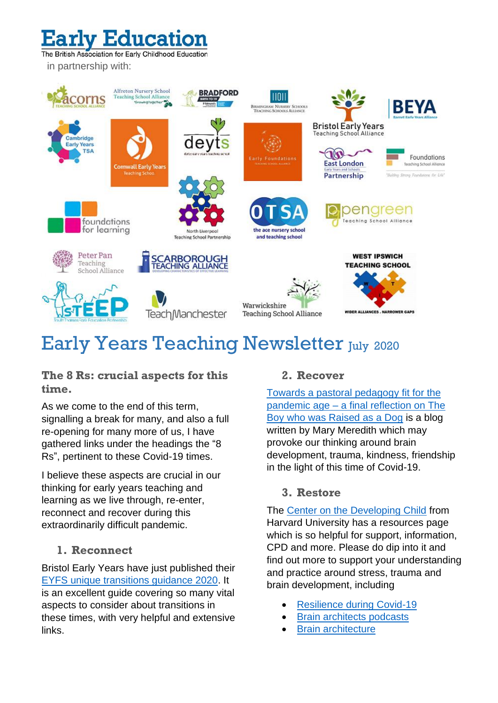# Education

The British Association for Early Childhood Education in partnership with:



# Early Years Teaching Newsletter July 2020

**The 8 Rs: crucial aspects for this time.**

As we come to the end of this term, signalling a break for many, and also a full re-opening for many more of us, I have gathered links under the headings the "8 Rs", pertinent to these Covid-19 times.

I believe these aspects are crucial in our thinking for early years teaching and learning as we live through, re-enter, reconnect and recover during this extraordinarily difficult pandemic.

#### **1. Reconnect**

Bristol Early Years have just published their [EYFS unique transitions guidance 2020.](https://www.bristolearlyyears.org.uk/unique-transition-guidance-for-the-eyfs/) It is an excellent guide covering so many vital aspects to consider about transitions in these times, with very helpful and extensive links.

#### **2. Recover**

[Towards a pastoral pedagogy fit for the](https://marymered.com/2020/05/16/towards-a-pastoral-pedagogy-fit-for-the-pandemic-age-a-final-reflection-on-the-boy-who-was-raised-as-a-dog/)  pandemic age – [a final reflection on The](https://marymered.com/2020/05/16/towards-a-pastoral-pedagogy-fit-for-the-pandemic-age-a-final-reflection-on-the-boy-who-was-raised-as-a-dog/)  [Boy who was Raised as a Dog](https://marymered.com/2020/05/16/towards-a-pastoral-pedagogy-fit-for-the-pandemic-age-a-final-reflection-on-the-boy-who-was-raised-as-a-dog/) is a blog written by Mary Meredith which may provoke our thinking around brain development, trauma, kindness, friendship in the light of this time of Covid-19.

#### **3. Restore**

The [Center on the Developing Child](https://developingchild.harvard.edu/resources/) from Harvard University has a resources page which is so helpful for support, information, CPD and more. Please do dip into it and find out more to support your understanding and practice around stress, trauma and brain development, including

- [Resilience](https://developingchild.harvard.edu/resources/how-to-help-families-and-staff-build-resilience-during-the-covid-19-outbreak/) during Covid-19
- **[Brain architects podcasts](https://developingchild.harvard.edu/resources/the-brain-architects-podcast-covid-19-special-edition-a-different-world/)**
- **[Brain architecture](https://developingchild.harvard.edu/science/key-concepts/brain-architecture/)**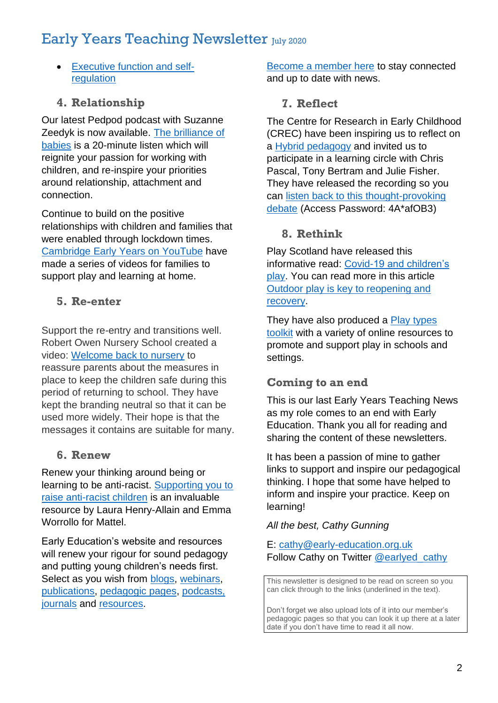# Early Years Teaching Newsletter July 2020

• [Executive function and self](https://developingchild.harvard.edu/guide/a-guide-to-executive-function/)[regulation](https://developingchild.harvard.edu/guide/a-guide-to-executive-function/)

## **4. Relationship**

Our latest Pedpod podcast with Suzanne Zeedyk is now available. [The brilliance of](https://www.early-education.org.uk/podcasts)  [babies](https://www.early-education.org.uk/podcasts) is a 20-minute listen which will reignite your passion for working with children, and re-inspire your priorities around relationship, attachment and connection.

Continue to build on the positive relationships with children and families that were enabled through lockdown times. [Cambridge](https://www.youtube.com/channel/UC1iXZ-cyVkVuXKCfJdxqUcQ/videos?view_as=subscriber) Early Years on YouTube have made a series of videos for families to support play and learning at home.

### **5. Re-enter**

Support the re-entry and transitions well. Robert Owen Nursery School created a video: [Welcome back to nursery](https://www.dropbox.com/s/5va2nljfedt6viy/Welcome%20Back%20To%20Nursery%20%28no%20RO%20Logo%29.mp4?dl=0) to reassure parents about the measures in place to keep the children safe during this period of returning to school. They have kept the branding neutral so that it can be used more widely. Their hope is that the messages it contains are suitable for many.

### **6. Renew**

Renew your thinking around being or learning to be anti-racist. [Supporting you to](https://www.mattel.com/sites/mattel_mattelcom/files/2020-07/Supporting_you_to_raise_antiracist_children2.pdf)  [raise anti-racist children](https://www.mattel.com/sites/mattel_mattelcom/files/2020-07/Supporting_you_to_raise_antiracist_children2.pdf) is an invaluable resource by Laura Henry-Allain and Emma Worrollo for Mattel.

Early Education's website and resources will renew your rigour for sound pedagogy and putting young children's needs first. Select as you wish from [blogs,](https://www.early-education.org.uk/blogs) [webinars,](https://www.early-education.org.uk/webinars) [publications,](https://www.early-education.org.uk/publications-resources) [pedagogic pages,](https://www.early-education.org.uk/pedagogic-resources) [podcasts,](https://www.early-education.org.uk/podcasts) [journals](https://www.early-education.org.uk/early-education-journal) and [resources.](https://www.early-education.org.uk/download-free-resources)

[Become a member here](https://www.early-education.org.uk/membership) to stay connected and up to date with news.

#### **7. Reflect**

The Centre for Research in Early Childhood (CREC) have been inspiring us to reflect on a [Hybrid pedagogy](http://www.crec.co.uk/announcements/considering-value-hybrid-pedagogy-eyfs) and invited us to participate in a learning circle with Chris Pascal, Tony Bertram and Julie Fisher. They have released the recording so you can [listen back to this thought-provoking](https://t.co/9ltvUOOUDx?amp=1)  [debate](https://t.co/9ltvUOOUDx?amp=1) (Access Password: 4A\*afOB3)

### **8. Rethink**

Play Scotland have released this informative read: [Covid-19 and children's](https://www.playscotland.org/resources/print/COVID-and-Play-Report-1.pdf?plsctml_id=19939)  [play.](https://www.playscotland.org/resources/print/COVID-and-Play-Report-1.pdf?plsctml_id=19939) You can read more in this article [Outdoor play is key to reopening and](https://schoolsweek.co.uk/outdoor-play-is-key-to-reopening-and-recovery/)  [recovery.](https://schoolsweek.co.uk/outdoor-play-is-key-to-reopening-and-recovery/)

They have also produced a [Play types](https://www.playscotland.org/play/playful-learning/play-types-toolkit-bringing-play-school-day/)  [toolkit](https://www.playscotland.org/play/playful-learning/play-types-toolkit-bringing-play-school-day/) with a variety of online resources to promote and support play in schools and settings.

### **Coming to an end**

This is our last Early Years Teaching News as my role comes to an end with Early Education. Thank you all for reading and sharing the content of these newsletters.

It has been a passion of mine to gather links to support and inspire our pedagogical thinking. I hope that some have helped to inform and inspire your practice. Keep on learning!

#### *All the best, Cathy Gunning*

#### E: [cathy@early-education.org.uk](mailto:cathy@early-education.org.uk) Follow Cathy on Twitter [@earlyed\\_cathy](https://twitter.com/earlyed_cathy)

This newsletter is designed to be read on screen so you can click through to the links (underlined in the text).

Don't forget we also upload lots of it into our member's pedagogic pages so that you can look it up there at a later date if you don't have time to read it all now.